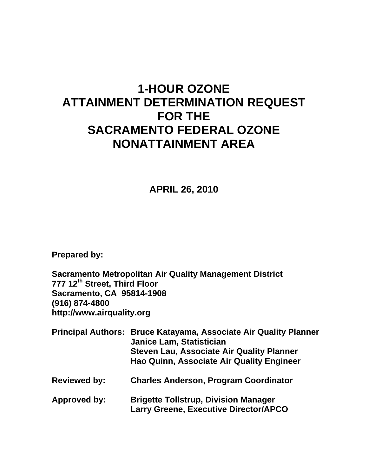# **1-HOUR OZONE ATTAINMENT DETERMINATION REQUEST FOR THE SACRAMENTO FEDERAL OZONE NONATTAINMENT AREA**

**APRIL 26, 2010** 

**Prepared by:** 

**Sacramento Metropolitan Air Quality Management District 777 12th Street, Third Floor Sacramento, CA 95814-1908 (916) 874-4800 http://www.airquality.org** 

- **Principal Authors: Bruce Katayama, Associate Air Quality Planner Janice Lam, Statistician Steven Lau, Associate Air Quality Planner Hao Quinn, Associate Air Quality Engineer**
- **Reviewed by: Charles Anderson, Program Coordinator**
- **Approved by: Brigette Tollstrup, Division Manager Larry Greene, Executive Director/APCO**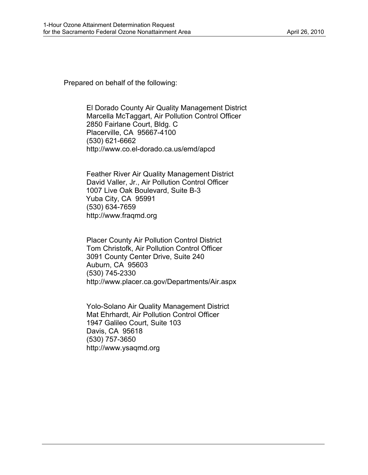Prepared on behalf of the following:

El Dorado County Air Quality Management District Marcella McTaggart, Air Pollution Control Officer 2850 Fairlane Court, Bldg. C Placerville, CA 95667-4100 (530) 621-6662 http://www.co.el-dorado.ca.us/emd/apcd

Feather River Air Quality Management District David Valler, Jr., Air Pollution Control Officer 1007 Live Oak Boulevard, Suite B-3 Yuba City, CA 95991 (530) 634-7659 http://www.fraqmd.org

Placer County Air Pollution Control District Tom Christofk, Air Pollution Control Officer 3091 County Center Drive, Suite 240 Auburn, CA 95603 (530) 745-2330 http://www.placer.ca.gov/Departments/Air.aspx

Yolo-Solano Air Quality Management District Mat Ehrhardt, Air Pollution Control Officer 1947 Galileo Court, Suite 103 Davis, CA 95618 (530) 757-3650 http://www.ysaqmd.org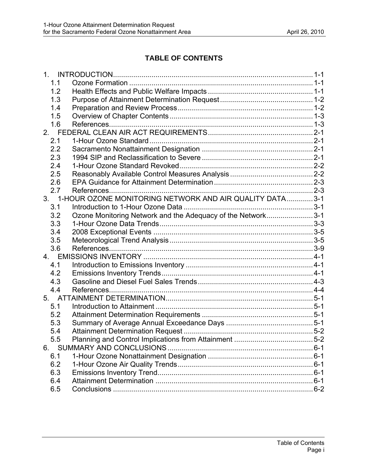# **TABLE OF CONTENTS**

| 1.1 |                                                             |  |
|-----|-------------------------------------------------------------|--|
| 1.2 |                                                             |  |
| 1.3 |                                                             |  |
| 1.4 |                                                             |  |
| 1.5 |                                                             |  |
| 1.6 |                                                             |  |
|     |                                                             |  |
| 2.1 |                                                             |  |
| 2.2 |                                                             |  |
| 2.3 |                                                             |  |
| 2.4 |                                                             |  |
| 2.5 |                                                             |  |
| 2.6 |                                                             |  |
| 2.7 |                                                             |  |
|     | 3. 1-HOUR OZONE MONITORING NETWORK AND AIR QUALITY DATA3-1  |  |
| 3.1 |                                                             |  |
| 3.2 | Ozone Monitoring Network and the Adequacy of the Network3-1 |  |
| 3.3 |                                                             |  |
| 3.4 |                                                             |  |
| 3.5 |                                                             |  |
| 3.6 |                                                             |  |
|     |                                                             |  |
| 4.1 |                                                             |  |
| 4.2 |                                                             |  |
| 4.3 |                                                             |  |
| 4.4 |                                                             |  |
|     |                                                             |  |
| 5.1 |                                                             |  |
| 5.2 |                                                             |  |
| 5.3 |                                                             |  |
| 5.4 |                                                             |  |
| 5.5 |                                                             |  |
| 6.  |                                                             |  |
| 6.1 |                                                             |  |
| 6.2 |                                                             |  |
| 6.3 |                                                             |  |
| 6.4 |                                                             |  |
| 6.5 |                                                             |  |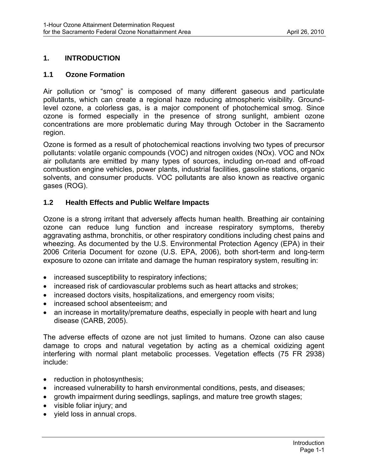## <span id="page-3-0"></span>**1. INTRODUCTION**

#### **1.1 Ozone Formation**

Air pollution or "smog" is composed of many different gaseous and particulate pollutants, which can create a regional haze reducing atmospheric visibility. Groundlevel ozone, a colorless gas, is a major component of photochemical smog. Since ozone is formed especially in the presence of strong sunlight, ambient ozone concentrations are more problematic during May through October in the Sacramento region.

Ozone is formed as a result of photochemical reactions involving two types of precursor pollutants: volatile organic compounds (VOC) and nitrogen oxides (NOx). VOC and NOx air pollutants are emitted by many types of sources, including on-road and off-road combustion engine vehicles, power plants, industrial facilities, gasoline stations, organic solvents, and consumer products. VOC pollutants are also known as reactive organic gases (ROG).

#### **1.2 Health Effects and Public Welfare Impacts**

Ozone is a strong irritant that adversely affects human health. Breathing air containing ozone can reduce lung function and increase respiratory symptoms, thereby aggravating asthma, bronchitis, or other respiratory conditions including chest pains and wheezing. As documented by the U.S. Environmental Protection Agency (EPA) in their 2006 Criteria Document for ozone (U.S. EPA, 2006), both short-term and long-term exposure to ozone can irritate and damage the human respiratory system, resulting in:

- increased susceptibility to respiratory infections;
- increased risk of cardiovascular problems such as heart attacks and strokes;
- increased doctors visits, hospitalizations, and emergency room visits;
- increased school absenteeism; and
- an increase in mortality/premature deaths, especially in people with heart and lung disease (CARB, 2005).

The adverse effects of ozone are not just limited to humans. Ozone can also cause damage to crops and natural vegetation by acting as a chemical oxidizing agent interfering with normal plant metabolic processes. Vegetation effects (75 FR 2938) include:

- reduction in photosynthesis;
- increased vulnerability to harsh environmental conditions, pests, and diseases;
- growth impairment during seedlings, saplings, and mature tree growth stages;
- visible foliar injury; and
- yield loss in annual crops.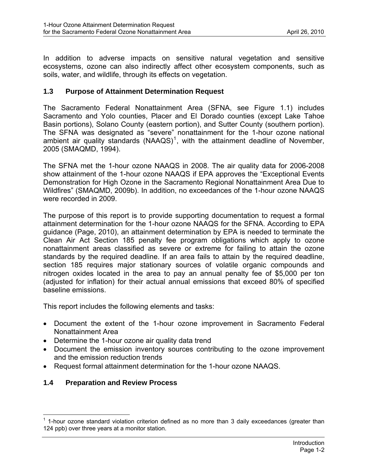<span id="page-4-0"></span>In addition to adverse impacts on sensitive natural vegetation and sensitive ecosystems, ozone can also indirectly affect other ecosystem components, such as soils, water, and wildlife, through its effects on vegetation.

#### **1.3 Purpose of Attainment Determination Request**

The Sacramento Federal Nonattainment Area (SFNA, see Figure 1.1) includes Sacramento and Yolo counties, Placer and El Dorado counties (except Lake Tahoe Basin portions), Solano County (eastern portion), and Sutter County (southern portion). The SFNA was designated as "severe" nonattainment for the 1-hour ozone national ambient air quality standards  $(NAAQS)^1$  $(NAAQS)^1$ , with the attainment deadline of November, 2005 (SMAQMD, 1994).

The SFNA met the 1-hour ozone NAAQS in 2008. The air quality data for 2006-2008 show attainment of the 1-hour ozone NAAQS if EPA approves the "Exceptional Events Demonstration for High Ozone in the Sacramento Regional Nonattainment Area Due to Wildfires" (SMAQMD, 2009b). In addition, no exceedances of the 1-hour ozone NAAQS were recorded in 2009.

The purpose of this report is to provide supporting documentation to request a formal attainment determination for the 1-hour ozone NAAQS for the SFNA. According to EPA guidance (Page, 2010), an attainment determination by EPA is needed to terminate the Clean Air Act Section 185 penalty fee program obligations which apply to ozone nonattainment areas classified as severe or extreme for failing to attain the ozone standards by the required deadline. If an area fails to attain by the required deadline, section 185 requires major stationary sources of volatile organic compounds and nitrogen oxides located in the area to pay an annual penalty fee of \$5,000 per ton (adjusted for inflation) for their actual annual emissions that exceed 80% of specified baseline emissions.

This report includes the following elements and tasks:

- Document the extent of the 1-hour ozone improvement in Sacramento Federal Nonattainment Area
- Determine the 1-hour ozone air quality data trend
- Document the emission inventory sources contributing to the ozone improvement and the emission reduction trends
- Request formal attainment determination for the 1-hour ozone NAAQS.

# **1.4 Preparation and Review Process**

<span id="page-4-1"></span><sup>1</sup>  $1$  1-hour ozone standard violation criterion defined as no more than 3 daily exceedances (greater than 124 ppb) over three years at a monitor station.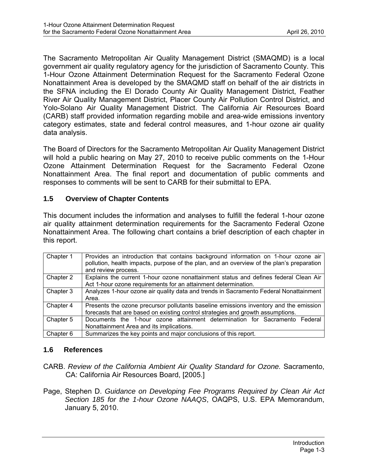<span id="page-5-0"></span>The Sacramento Metropolitan Air Quality Management District (SMAQMD) is a local government air quality regulatory agency for the jurisdiction of Sacramento County. This 1-Hour Ozone Attainment Determination Request for the Sacramento Federal Ozone Nonattainment Area is developed by the SMAQMD staff on behalf of the air districts in the SFNA including the El Dorado County Air Quality Management District, Feather River Air Quality Management District, Placer County Air Pollution Control District, and Yolo-Solano Air Quality Management District. The California Air Resources Board (CARB) staff provided information regarding mobile and area-wide emissions inventory category estimates, state and federal control measures, and 1-hour ozone air quality data analysis.

The Board of Directors for the Sacramento Metropolitan Air Quality Management District will hold a public hearing on May 27, 2010 to receive public comments on the 1-Hour Ozone Attainment Determination Request for the Sacramento Federal Ozone Nonattainment Area. The final report and documentation of public comments and responses to comments will be sent to CARB for their submittal to EPA.

#### **1.5 Overview of Chapter Contents**

This document includes the information and analyses to fulfill the federal 1-hour ozone air quality attainment determination requirements for the Sacramento Federal Ozone Nonattainment Area. The following chart contains a brief description of each chapter in this report.

| Chapter 1 | Provides an introduction that contains background information on 1-hour ozone air<br>pollution, health impacts, purpose of the plan, and an overview of the plan's preparation<br>and review process. |  |  |  |  |  |  |  |
|-----------|-------------------------------------------------------------------------------------------------------------------------------------------------------------------------------------------------------|--|--|--|--|--|--|--|
| Chapter 2 | Explains the current 1-hour ozone nonattainment status and defines federal Clean Air<br>Act 1-hour ozone requirements for an attainment determination.                                                |  |  |  |  |  |  |  |
| Chapter 3 | Analyzes 1-hour ozone air quality data and trends in Sacramento Federal Nonattainment<br>Area.                                                                                                        |  |  |  |  |  |  |  |
| Chapter 4 | Presents the ozone precursor pollutants baseline emissions inventory and the emission<br>forecasts that are based on existing control strategies and growth assumptions.                              |  |  |  |  |  |  |  |
| Chapter 5 | Documents the 1-hour ozone attainment determination for Sacramento Federal<br>Nonattainment Area and its implications.                                                                                |  |  |  |  |  |  |  |
| Chapter 6 | Summarizes the key points and major conclusions of this report.                                                                                                                                       |  |  |  |  |  |  |  |

#### **1.6 References**

- CARB. *Review of the California Ambient Air Quality Standard for Ozone.* Sacramento, CA: California Air Resources Board, [2005.]
- Page, Stephen D. *Guidance on Developing Fee Programs Required by Clean Air Act Section 185 for the 1-hour Ozone NAAQS*, OAQPS, U.S. EPA Memorandum, January 5, 2010.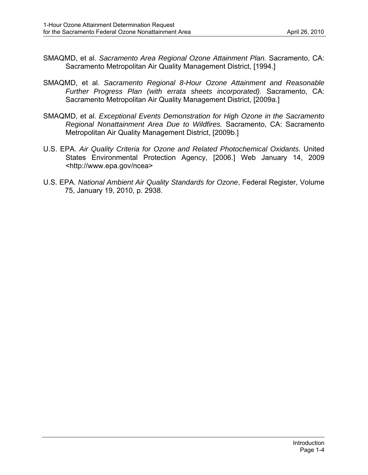- SMAQMD, et al. *Sacramento Area Regional Ozone Attainment Plan.* Sacramento, CA: Sacramento Metropolitan Air Quality Management District, [1994.]
- SMAQMD, et al. *Sacramento Regional 8-Hour Ozone Attainment and Reasonable Further Progress Plan (with errata sheets incorporated).* Sacramento, CA: Sacramento Metropolitan Air Quality Management District, [2009a.]
- SMAQMD, et al. *Exceptional Events Demonstration for High Ozone in the Sacramento Regional Nonattainment Area Due to Wildfires.* Sacramento, CA: Sacramento Metropolitan Air Quality Management District, [2009b.]
- U.S. EPA. *Air Quality Criteria for Ozone and Related Photochemical Oxidants.* United States Environmental Protection Agency, [2006.] Web January 14, 2009 <http://www.epa.gov/ncea>
- U.S. EPA. *National Ambient Air Quality Standards for Ozone*, Federal Register, Volume 75, January 19, 2010, p. 2938.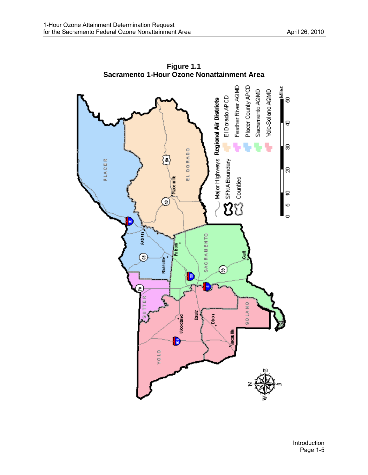

**Figure 1.1 Sacramento 1-Hour Ozone Nonattainment Area**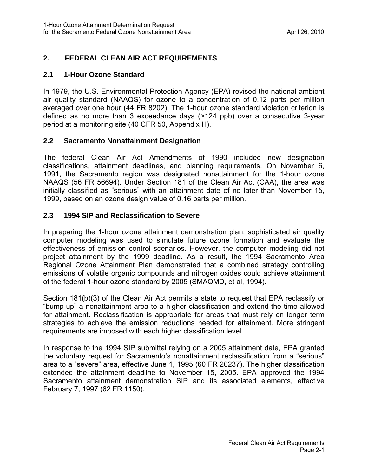# <span id="page-8-0"></span>**2. FEDERAL CLEAN AIR ACT REQUIREMENTS**

#### **2.1 1-Hour Ozone Standard**

In 1979, the U.S. Environmental Protection Agency (EPA) revised the national ambient air quality standard (NAAQS) for ozone to a concentration of 0.12 parts per million averaged over one hour (44 FR 8202). The 1-hour ozone standard violation criterion is defined as no more than 3 exceedance days (>124 ppb) over a consecutive 3-year period at a monitoring site (40 CFR 50, Appendix H).

## **2.2 Sacramento Nonattainment Designation**

The federal Clean Air Act Amendments of 1990 included new designation classifications, attainment deadlines, and planning requirements. On November 6, 1991, the Sacramento region was designated nonattainment for the 1-hour ozone NAAQS (56 FR 56694). Under Section 181 of the Clean Air Act (CAA), the area was initially classified as "serious" with an attainment date of no later than November 15, 1999, based on an ozone design value of 0.16 parts per million.

# **2.3 1994 SIP and Reclassification to Severe**

In preparing the 1-hour ozone attainment demonstration plan, sophisticated air quality computer modeling was used to simulate future ozone formation and evaluate the effectiveness of emission control scenarios. However, the computer modeling did not project attainment by the 1999 deadline. As a result, the 1994 Sacramento Area Regional Ozone Attainment Plan demonstrated that a combined strategy controlling emissions of volatile organic compounds and nitrogen oxides could achieve attainment of the federal 1-hour ozone standard by 2005 (SMAQMD, et al, 1994).

Section 181(b)(3) of the Clean Air Act permits a state to request that EPA reclassify or "bump-up" a nonattainment area to a higher classification and extend the time allowed for attainment. Reclassification is appropriate for areas that must rely on longer term strategies to achieve the emission reductions needed for attainment. More stringent requirements are imposed with each higher classification level.

In response to the 1994 SIP submittal relying on a 2005 attainment date, EPA granted the voluntary request for Sacramento's nonattainment reclassification from a "serious" area to a "severe" area, effective June 1, 1995 (60 FR 20237). The higher classification extended the attainment deadline to November 15, 2005. EPA approved the 1994 Sacramento attainment demonstration SIP and its associated elements, effective February 7, 1997 (62 FR 1150).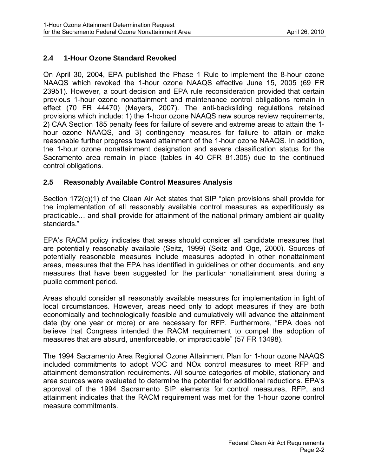# <span id="page-9-0"></span>**2.4 1-Hour Ozone Standard Revoked**

On April 30, 2004, EPA published the Phase 1 Rule to implement the 8-hour ozone NAAQS which revoked the 1-hour ozone NAAQS effective June 15, 2005 (69 FR 23951). However, a court decision and EPA rule reconsideration provided that certain previous 1-hour ozone nonattainment and maintenance control obligations remain in effect (70 FR 44470) (Meyers, 2007). The anti-backsliding regulations retained provisions which include: 1) the 1-hour ozone NAAQS new source review requirements, 2) CAA Section 185 penalty fees for failure of severe and extreme areas to attain the 1 hour ozone NAAQS, and 3) contingency measures for failure to attain or make reasonable further progress toward attainment of the 1-hour ozone NAAQS. In addition, the 1-hour ozone nonattainment designation and severe classification status for the Sacramento area remain in place (tables in 40 CFR 81.305) due to the continued control obligations.

# **2.5 Reasonably Available Control Measures Analysis**

Section 172(c)(1) of the Clean Air Act states that SIP "plan provisions shall provide for the implementation of all reasonably available control measures as expeditiously as practicable… and shall provide for attainment of the national primary ambient air quality standards."

EPA's RACM policy indicates that areas should consider all candidate measures that are potentially reasonably available (Seitz, 1999) (Seitz and Oge, 2000). Sources of potentially reasonable measures include measures adopted in other nonattainment areas, measures that the EPA has identified in guidelines or other documents, and any measures that have been suggested for the particular nonattainment area during a public comment period.

Areas should consider all reasonably available measures for implementation in light of local circumstances. However, areas need only to adopt measures if they are both economically and technologically feasible and cumulatively will advance the attainment date (by one year or more) or are necessary for RFP. Furthermore, "EPA does not believe that Congress intended the RACM requirement to compel the adoption of measures that are absurd, unenforceable, or impracticable" (57 FR 13498).

The 1994 Sacramento Area Regional Ozone Attainment Plan for 1-hour ozone NAAQS included commitments to adopt VOC and NOx control measures to meet RFP and attainment demonstration requirements. All source categories of mobile, stationary and area sources were evaluated to determine the potential for additional reductions. EPA's approval of the 1994 Sacramento SIP elements for control measures, RFP, and attainment indicates that the RACM requirement was met for the 1-hour ozone control measure commitments.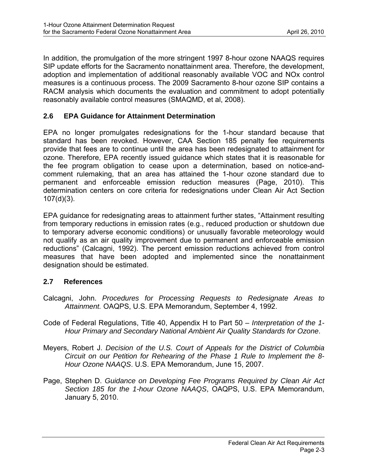<span id="page-10-0"></span>In addition, the promulgation of the more stringent 1997 8-hour ozone NAAQS requires SIP update efforts for the Sacramento nonattainment area. Therefore, the development, adoption and implementation of additional reasonably available VOC and NOx control measures is a continuous process. The 2009 Sacramento 8-hour ozone SIP contains a RACM analysis which documents the evaluation and commitment to adopt potentially reasonably available control measures (SMAQMD, et al, 2008).

# **2.6 EPA Guidance for Attainment Determination**

EPA no longer promulgates redesignations for the 1-hour standard because that standard has been revoked. However, CAA Section 185 penalty fee requirements provide that fees are to continue until the area has been redesignated to attainment for ozone. Therefore, EPA recently issued guidance which states that it is reasonable for the fee program obligation to cease upon a determination, based on notice-andcomment rulemaking, that an area has attained the 1-hour ozone standard due to permanent and enforceable emission reduction measures (Page, 2010). This determination centers on core criteria for redesignations under Clean Air Act Section 107(d)(3).

EPA guidance for redesignating areas to attainment further states, "Attainment resulting from temporary reductions in emission rates (e.g., reduced production or shutdown due to temporary adverse economic conditions) or unusually favorable meteorology would not qualify as an air quality improvement due to permanent and enforceable emission reductions" (Calcagni, 1992). The percent emission reductions achieved from control measures that have been adopted and implemented since the nonattainment designation should be estimated.

# **2.7 References**

- Calcagni, John. *Procedures for Processing Requests to Redesignate Areas to Attainment.* OAQPS, U.S. EPA Memorandum, September 4, 1992.
- Code of Federal Regulations, Title 40, Appendix H to Part 50 *Interpretation of the 1- Hour Primary and Secondary National Ambient Air Quality Standards for Ozone*.
- Meyers, Robert J. *Decision of the U.S. Court of Appeals for the District of Columbia Circuit on our Petition for Rehearing of the Phase 1 Rule to Implement the 8- Hour Ozone NAAQS*. U.S. EPA Memorandum, June 15, 2007.
- Page, Stephen D. *Guidance on Developing Fee Programs Required by Clean Air Act Section 185 for the 1-hour Ozone NAAQS*, OAQPS, U.S. EPA Memorandum, January 5, 2010.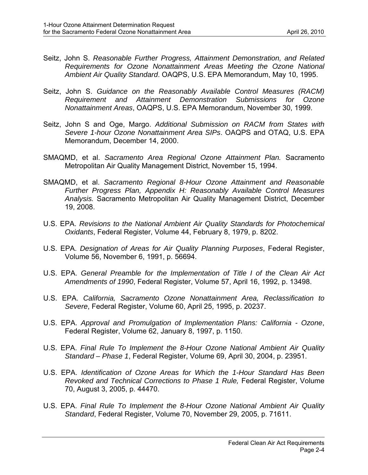- Seitz, John S. *Reasonable Further Progress, Attainment Demonstration, and Related Requirements for Ozone Nonattainment Areas Meeting the Ozone National Ambient Air Quality Standard*. OAQPS, U.S. EPA Memorandum, May 10, 1995.
- Seitz, John S. *Guidance on the Reasonably Available Control Measures (RACM) Requirement and Attainment Demonstration Submissions for Ozone Nonattainment Areas*, OAQPS, U.S. EPA Memorandum, November 30, 1999.
- Seitz, John S and Oge, Margo. *Additional Submission on RACM from States with Severe 1-hour Ozone Nonattainment Area SIPs*. OAQPS and OTAQ, U.S. EPA Memorandum, December 14, 2000.
- SMAQMD, et al. *Sacramento Area Regional Ozone Attainment Plan.* Sacramento Metropolitan Air Quality Management District, November 15, 1994.
- SMAQMD, et al. *Sacramento Regional 8-Hour Ozone Attainment and Reasonable Further Progress Plan, Appendix H: Reasonably Available Control Measures Analysis.* Sacramento Metropolitan Air Quality Management District, December 19, 2008.
- U.S. EPA. *Revisions to the National Ambient Air Quality Standards for Photochemical Oxidants*, Federal Register, Volume 44, February 8, 1979, p. 8202.
- U.S. EPA. *Designation of Areas for Air Quality Planning Purposes*, Federal Register, Volume 56, November 6, 1991, p. 56694.
- U.S. EPA. *General Preamble for the Implementation of Title I of the Clean Air Act Amendments of 1990*, Federal Register, Volume 57, April 16, 1992, p. 13498.
- U.S. EPA. *California, Sacramento Ozone Nonattainment Area, Reclassification to Severe*, Federal Register, Volume 60, April 25, 1995, p. 20237.
- U.S. EPA. *Approval and Promulgation of Implementation Plans: California Ozone*, Federal Register, Volume 62, January 8, 1997, p. 1150.
- U.S. EPA. *Final Rule To Implement the 8-Hour Ozone National Ambient Air Quality Standard – Phase 1*, Federal Register, Volume 69, April 30, 2004, p. 23951.
- U.S. EPA. *Identification of Ozone Areas for Which the 1-Hour Standard Has Been Revoked and Technical Corrections to Phase 1 Rule,* Federal Register, Volume 70, August 3, 2005, p. 44470.
- U.S. EPA. *Final Rule To Implement the 8-Hour Ozone National Ambient Air Quality Standard*, Federal Register, Volume 70, November 29, 2005, p. 71611.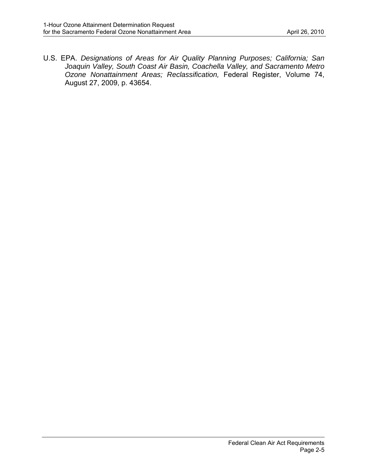U.S. EPA. *Designations of Areas for Air Quality Planning Purposes; California; San Joaquin Valley, South Coast Air Basin, Coachella Valley, and Sacramento Metro Ozone Nonattainment Areas; Reclassification,* Federal Register, Volume 74, August 27, 2009, p. 43654.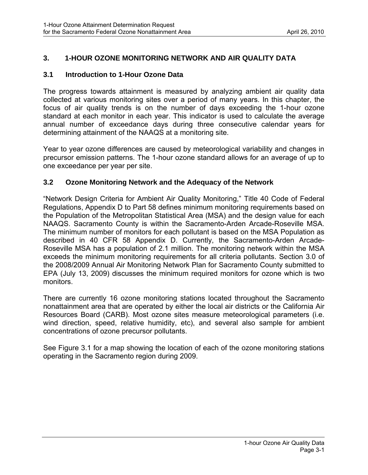# <span id="page-13-0"></span>**3. 1-HOUR OZONE MONITORING NETWORK AND AIR QUALITY DATA**

#### **3.1 Introduction to 1-Hour Ozone Data**

The progress towards attainment is measured by analyzing ambient air quality data collected at various monitoring sites over a period of many years. In this chapter, the focus of air quality trends is on the number of days exceeding the 1-hour ozone standard at each monitor in each year. This indicator is used to calculate the average annual number of exceedance days during three consecutive calendar years for determining attainment of the NAAQS at a monitoring site.

Year to year ozone differences are caused by meteorological variability and changes in precursor emission patterns. The 1-hour ozone standard allows for an average of up to one exceedance per year per site.

#### **3.2 Ozone Monitoring Network and the Adequacy of the Network**

"Network Design Criteria for Ambient Air Quality Monitoring," Title 40 Code of Federal Regulations, Appendix D to Part 58 defines minimum monitoring requirements based on the Population of the Metropolitan Statistical Area (MSA) and the design value for each NAAQS. Sacramento County is within the Sacramento-Arden Arcade-Roseville MSA. The minimum number of monitors for each pollutant is based on the MSA Population as described in 40 CFR 58 Appendix D. Currently, the Sacramento-Arden Arcade-Roseville MSA has a population of 2.1 million. The monitoring network within the MSA exceeds the minimum monitoring requirements for all criteria pollutants. Section 3.0 of the 2008/2009 Annual Air Monitoring Network Plan for Sacramento County submitted to EPA (July 13, 2009) discusses the minimum required monitors for ozone which is two monitors.

There are currently 16 ozone monitoring stations located throughout the Sacramento nonattainment area that are operated by either the local air districts or the California Air Resources Board (CARB). Most ozone sites measure meteorological parameters (i.e. wind direction, speed, relative humidity, etc), and several also sample for ambient concentrations of ozone precursor pollutants.

See Figure 3.1 for a map showing the location of each of the ozone monitoring stations operating in the Sacramento region during 2009.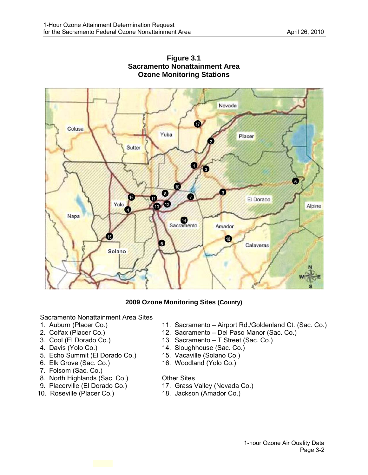

#### **Figure 3.1 Sacramento Nonattainment Area Ozone Monitoring Stations**

#### **2009 Ozone Monitoring Sites (County)**

Sacramento Nonattainment Area Sites

- 
- 
- 
- 
- 5. Echo Summit (El Dorado Co.) 15. Vacaville (Solano Co.)
- 6. Elk Grove (Sac. Co.) 16. Woodland (Yolo Co.)
- 7. Folsom (Sac. Co.)
- 8. North Highlands (Sac. Co.) Other Sites
- 
- 
- 1. Auburn (Placer Co.) 11. Sacramento Airport Rd./Goldenland Ct. (Sac. Co.)<br>2. Colfax (Placer Co.) 12. Sacramento Del Paso Manor (Sac. Co.)
- 2. Colfax (Placer Co.)<br>
3. Cool (El Dorado Co.) 13. Sacramento T Street (Sac. Co.)
- 3. Cool (El Dorado Co.) 13. Sacramento T Street (Sac. Co.)<br>4. Davis (Yolo Co.) 14. Sloughhouse (Sac. Co.)
	- 14. Sloughhouse (Sac. Co.)
	-
	-

- 9. Placerville (El Dorado Co.) 17. Grass Valley (Nevada Co.)<br>10. Roseville (Placer Co.) 18. Jackson (Amador Co.)
	- 18. Jackson (Amador Co.)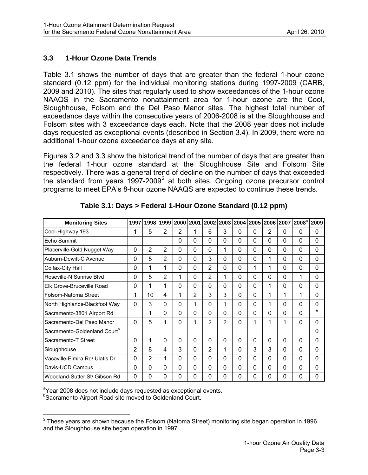#### <span id="page-15-0"></span>**3.3 1-Hour Ozone Data Trends**

Table 3.1 shows the number of days that are greater than the federal 1-hour ozone standard (0.12 ppm) for the individual monitoring stations during 1997-2009 (CARB, 2009 and 2010). The sites that regularly used to show exceedances of the 1-hour ozone NAAQS in the Sacramento nonattainment area for 1-hour ozone are the Cool, Sloughhouse, Folsom and the Del Paso Manor sites. The highest total number of exceedance days within the consecutive years of 2006-2008 is at the Sloughhouse and Folsom sites with 3 exceedance days each. Note that the 2008 year does not include days requested as exceptional events (described in Section 3.4). In 2009, there were no additional 1-hour ozone exceedance days at any site.

Figures 3.2 and 3.3 show the historical trend of the number of days that are greater than the federal 1-hour ozone standard at the Sloughhouse Site and Folsom Site respectively. There was a general trend of decline on the number of days that exceeded the standard from years  $1997-2009^2$  $1997-2009^2$  $1997-2009^2$  at both sites. Ongoing ozone precursor control programs to meet EPA's 8-hour ozone NAAQS are expected to continue these trends.

| <b>Monitoring Sites</b>                  | 1997           | 1998           | 1999           | 2000         | 2001           | 2002           | 2003           | 2004 | 2005         | 2006           | 2007     | 2008 <sup>a</sup> | 2009         |
|------------------------------------------|----------------|----------------|----------------|--------------|----------------|----------------|----------------|------|--------------|----------------|----------|-------------------|--------------|
| Cool-Highway 193                         | 1              | 5              | 2              | 2            | 1              | 6              | 3              | 0    | 0            | $\overline{2}$ | $\Omega$ | 0                 | 0            |
| Echo Summit                              |                |                |                | $\mathbf{0}$ | 0              | 0              | 0              | 0    | 0            | 0              | 0        | 0                 | 0            |
| Placerville-Gold Nugget Way              | 0              | $\overline{2}$ | $\overline{2}$ | $\mathbf 0$  | 0              | 0              | 1              | 0    | 0            | 0              | 0        | 0                 | $\mathbf{0}$ |
| Auburn-Dewitt-C Avenue                   | 0              | 5              | 2              | $\mathbf 0$  | 0              | 3              | 0              | 0    | 0            | 1              | 0        | 0                 | $\mathbf 0$  |
| Colfax-City Hall                         | 0              | 1              | 1              | $\mathbf 0$  | 0              | $\overline{2}$ | 0              | 0    | 1            | 1              | $\Omega$ | 0                 | $\mathbf 0$  |
| Roseville-N Sunrise Blvd                 | 0              | 5              | 2              | 1            | 0              | $\overline{2}$ | 1              | 0    | 0            | 0              | $\Omega$ | 1                 | $\mathbf 0$  |
| Elk Grove-Bruceville Road                | 0              | 1              | 1              | $\mathbf 0$  | 0              | 0              | 0              | 0    | 0            | 1              | 0        | 0                 | $\mathbf 0$  |
| Folsom-Natoma Street                     | 1              | 10             | 4              | 1            | $\overline{2}$ | 3              | 3              | 0    | 0            | 1              | 1        | 1                 | $\mathbf 0$  |
| North Highlands-Blackfoot Way            | 0              | 3              | $\mathbf{0}$   | $\mathbf 0$  | 1              | $\mathbf{0}$   | 1              | 0    | 0            | 1              | 0        | 0                 | $\mathbf 0$  |
| Sacramento-3801 Airport Rd               |                | 1              | $\mathbf 0$    | $\mathbf 0$  | 0              | 0              | 0              | 0    | 0            | 0              | 0        | 0                 | $\mathbf b$  |
| Sacramento-Del Paso Manor                | $\mathbf 0$    | 5              | 1              | $\mathbf 0$  | 1              | $\overline{2}$ | $\overline{2}$ | 0    | $\mathbf{1}$ | 1              | 1        | 0                 | $\mathbf{0}$ |
| Sacramento-Goldenland Court <sup>b</sup> |                |                |                |              |                |                |                |      |              |                |          |                   | $\mathbf 0$  |
| Sacramento-T Street                      | 0              | 1              | $\mathbf 0$    | $\mathbf 0$  | 0              | $\mathbf 0$    | 0              | 0    | 0            | 0              | 0        | 0                 | $\mathbf 0$  |
| Sloughhouse                              | $\overline{2}$ | 8              | 4              | 3            | 0              | $\overline{2}$ | 1              | 0    | 3            | 3              | 0        | 0                 | $\mathbf 0$  |
| Vacaville-Elmira Rd/ Ulatis Dr           | 0              | $\overline{2}$ | $\mathbf{1}$   | $\mathbf 0$  | 0              | 0              | 0              | 0    | 0            | 0              | 0        | 0                 | $\mathbf 0$  |
| Davis-UCD Campus                         | 0              | 0              | $\mathbf 0$    | $\mathbf 0$  | 0              | 0              | 0              | 0    | 0            | 0              | 0        | 0                 | $\mathbf 0$  |
| Woodland-Sutter St/ Gibson Rd            | 0              | 0              | $\mathbf 0$    | $\mathbf 0$  | 0              | 0              | 0              | 0    | 0            | 0              | $\Omega$ | 0                 | 0            |

**Table 3.1: Days > Federal 1-Hour Ozone Standard (0.12 ppm)** 

<sup>a</sup>Year 2008 does not include days requested as exceptional events.<br>**bSecrements Airport Boad site moved to Coldenland Court Sacramento-Airport Road site moved to Goldenland Court.** 

<span id="page-15-1"></span><sup>————————————————————&</sup>lt;br><sup>2</sup> These years are shown because the Folsom (Natoma Street) monitoring site began operation in 1996 and the Sloughhouse site began operation in 1997.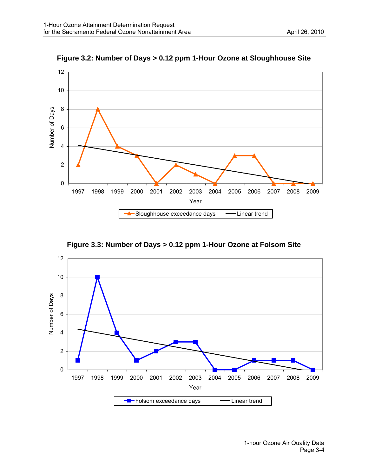

**Figure 3.2: Number of Days > 0.12 ppm 1-Hour Ozone at Sloughhouse Site** 

**Figure 3.3: Number of Days > 0.12 ppm 1-Hour Ozone at Folsom Site** 

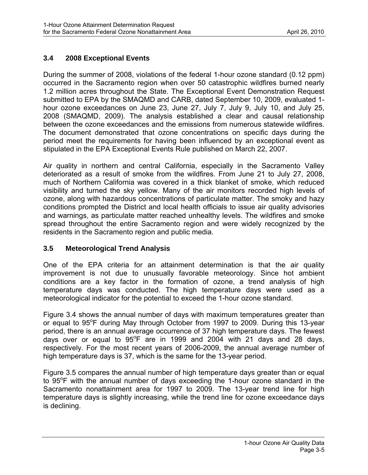# <span id="page-17-0"></span>**3.4 2008 Exceptional Events**

During the summer of 2008, violations of the federal 1-hour ozone standard (0.12 ppm) occurred in the Sacramento region when over 50 catastrophic wildfires burned nearly 1.2 million acres throughout the State. The Exceptional Event Demonstration Request submitted to EPA by the SMAQMD and CARB, dated September 10, 2009, evaluated 1 hour ozone exceedances on June 23, June 27, July 7, July 9, July 10, and July 25, 2008 (SMAQMD, 2009). The analysis established a clear and causal relationship between the ozone exceedances and the emissions from numerous statewide wildfires. The document demonstrated that ozone concentrations on specific days during the period meet the requirements for having been influenced by an exceptional event as stipulated in the EPA Exceptional Events Rule published on March 22, 2007.

Air quality in northern and central California, especially in the Sacramento Valley deteriorated as a result of smoke from the wildfires. From June 21 to July 27, 2008, much of Northern California was covered in a thick blanket of smoke, which reduced visibility and turned the sky yellow. Many of the air monitors recorded high levels of ozone, along with hazardous concentrations of particulate matter. The smoky and hazy conditions prompted the District and local health officials to issue air quality advisories and warnings, as particulate matter reached unhealthy levels. The wildfires and smoke spread throughout the entire Sacramento region and were widely recognized by the residents in the Sacramento region and public media.

# **3.5 Meteorological Trend Analysis**

One of the EPA criteria for an attainment determination is that the air quality improvement is not due to unusually favorable meteorology. Since hot ambient conditions are a key factor in the formation of ozone, a trend analysis of high temperature days was conducted. The high temperature days were used as a meteorological indicator for the potential to exceed the 1-hour ozone standard.

Figure 3.4 shows the annual number of days with maximum temperatures greater than or equal to 95°F during May through October from 1997 to 2009. During this 13-year period, there is an annual average occurrence of 37 high temperature days. The fewest days over or equal to  $95^{\circ}$ F are in 1999 and 2004 with 21 days and 28 days, respectively. For the most recent years of 2006-2009, the annual average number of high temperature days is 37, which is the same for the 13-year period.

Figure 3.5 compares the annual number of high temperature days greater than or equal to 95°F with the annual number of days exceeding the 1-hour ozone standard in the Sacramento nonattainment area for 1997 to 2009. The 13-year trend line for high temperature days is slightly increasing, while the trend line for ozone exceedance days is declining.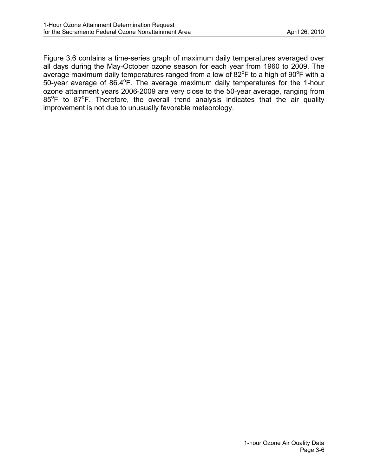Figure 3.6 contains a time-series graph of maximum daily temperatures averaged over all days during the May-October ozone season for each year from 1960 to 2009. The average maximum daily temperatures ranged from a low of 82 $\mathrm{^oF}$  to a high of 90 $\mathrm{^oF}$  with a 50-year average of 86.4°F. The average maximum daily temperatures for the 1-hour ozone attainment years 2006-2009 are very close to the 50-year average, ranging from 85°F to 87°F. Therefore, the overall trend analysis indicates that the air quality improvement is not due to unusually favorable meteorology.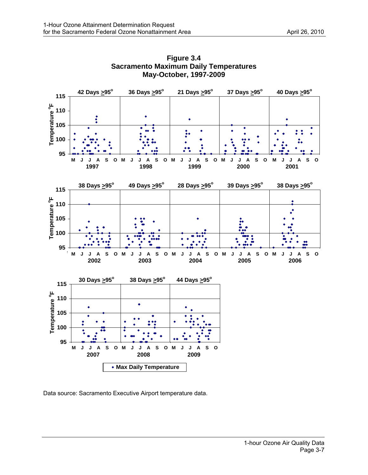

**Figure 3.4 Sacramento Maximum Daily Temperatures May-October, 1997-2009** 

Data source: Sacramento Executive Airport temperature data.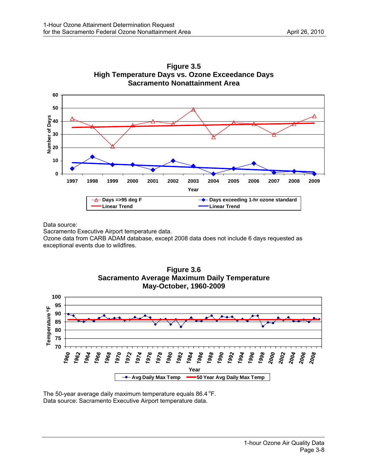

**Figure 3.5 High Temperature Days vs. Ozone Exceedance Days Sacramento Nonattainment Area** 

Data source:

Sacramento Executive Airport temperature data.

Ozone data from CARB ADAM database, except 2008 data does not include 6 days requested as exceptional events due to wildfires.



**Figure 3.6** 

The 50-year average daily maximum temperature equals  $86.4^{\circ}$ F. Data source: Sacramento Executive Airport temperature data.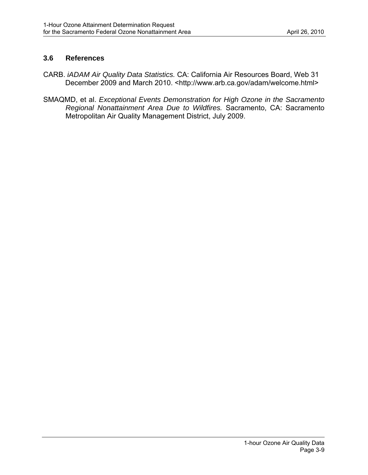#### <span id="page-21-0"></span>**3.6 References**

- CARB. *iADAM Air Quality Data Statistics.* CA: California Air Resources Board, Web 31 December 2009 and March 2010. <http://www.arb.ca.gov/adam/welcome.html>
- SMAQMD, et al. *Exceptional Events Demonstration for High Ozone in the Sacramento Regional Nonattainment Area Due to Wildfires.* Sacramento, CA: Sacramento Metropolitan Air Quality Management District, July 2009.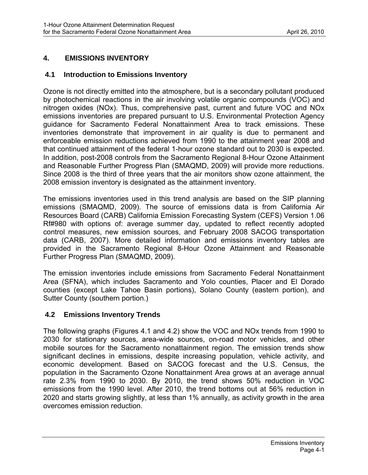# <span id="page-22-0"></span>**4. EMISSIONS INVENTORY**

#### **4.1 Introduction to Emissions Inventory**

Ozone is not directly emitted into the atmosphere, but is a secondary pollutant produced by photochemical reactions in the air involving volatile organic compounds (VOC) and nitrogen oxides (NOx). Thus, comprehensive past, current and future VOC and NOx emissions inventories are prepared pursuant to U.S. Environmental Protection Agency guidance for Sacramento Federal Nonattainment Area to track emissions. These inventories demonstrate that improvement in air quality is due to permanent and enforceable emission reductions achieved from 1990 to the attainment year 2008 and that continued attainment of the federal 1-hour ozone standard out to 2030 is expected. In addition, post-2008 controls from the Sacramento Regional 8-Hour Ozone Attainment and Reasonable Further Progress Plan (SMAQMD, 2009) will provide more reductions. Since 2008 is the third of three years that the air monitors show ozone attainment, the 2008 emission inventory is designated as the attainment inventory.

The emissions inventories used in this trend analysis are based on the SIP planning emissions (SMAQMD, 2009). The source of emissions data is from California Air Resources Board (CARB) California Emission Forecasting System (CEFS) Version 1.06 Rf#980 with options of: average summer day, updated to reflect recently adopted control measures, new emission sources, and February 2008 SACOG transportation data (CARB, 2007). More detailed information and emissions inventory tables are provided in the Sacramento Regional 8-Hour Ozone Attainment and Reasonable Further Progress Plan (SMAQMD, 2009).

The emission inventories include emissions from Sacramento Federal Nonattainment Area (SFNA), which includes Sacramento and Yolo counties, Placer and El Dorado counties (except Lake Tahoe Basin portions), Solano County (eastern portion), and Sutter County (southern portion.)

#### **4.2 Emissions Inventory Trends**

The following graphs (Figures 4.1 and 4.2) show the VOC and NOx trends from 1990 to 2030 for stationary sources, area-wide sources, on-road motor vehicles, and other mobile sources for the Sacramento nonattainment region. The emission trends show significant declines in emissions, despite increasing population, vehicle activity, and economic development. Based on SACOG forecast and the U.S. Census, the population in the Sacramento Ozone Nonattainment Area grows at an average annual rate 2.3% from 1990 to 2030. By 2010, the trend shows 50% reduction in VOC emissions from the 1990 level. After 2010, the trend bottoms out at 56% reduction in 2020 and starts growing slightly, at less than 1% annually, as activity growth in the area overcomes emission reduction.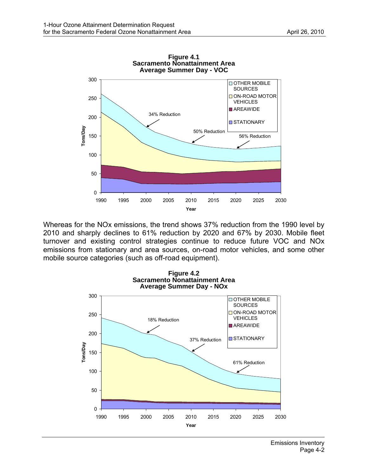

Whereas for the NOx emissions, the trend shows 37% reduction from the 1990 level by 2010 and sharply declines to 61% reduction by 2020 and 67% by 2030. Mobile fleet turnover and existing control strategies continue to reduce future VOC and NOx emissions from stationary and area sources, on-road motor vehicles, and some other mobile source categories (such as off-road equipment).

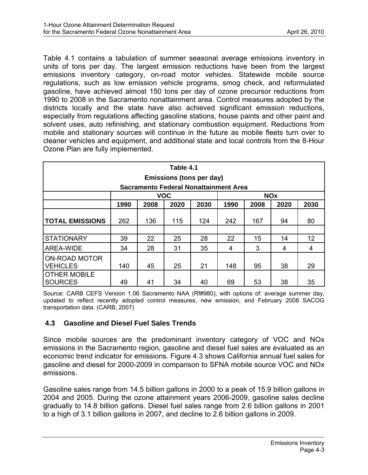<span id="page-24-0"></span>Table 4.1 contains a tabulation of summer seasonal average emissions inventory in units of tons per day. The largest emission reductions have been from the largest emissions inventory category, on-road motor vehicles. Statewide mobile source regulations, such as low emission vehicle programs, smog check, and reformulated gasoline, have achieved almost 150 tons per day of ozone precursor reductions from 1990 to 2008 in the Sacramento nonattainment area. Control measures adopted by the districts locally and the state have also achieved significant emission reductions, especially from regulations affecting gasoline stations, house paints and other paint and solvent uses, auto refinishing, and stationary combustion equipment. Reductions from mobile and stationary sources will continue in the future as mobile fleets turn over to cleaner vehicles and equipment, and additional state and local controls from the 8-Hour Ozone Plan are fully implemented.

| Table 4.1                                    |                                                              |     |     |     |     |     |    |                 |  |  |
|----------------------------------------------|--------------------------------------------------------------|-----|-----|-----|-----|-----|----|-----------------|--|--|
| Emissions (tons per day)                     |                                                              |     |     |     |     |     |    |                 |  |  |
| <b>Sacramento Federal Nonattainment Area</b> |                                                              |     |     |     |     |     |    |                 |  |  |
|                                              | <b>VOC</b><br><b>NOx</b>                                     |     |     |     |     |     |    |                 |  |  |
|                                              | 1990<br>2008<br>2020<br>2030<br>1990<br>2008<br>2020<br>2030 |     |     |     |     |     |    |                 |  |  |
| <b>TOTAL EMISSIONS</b>                       | 262                                                          | 136 | 115 | 124 | 242 | 167 | 94 | 80              |  |  |
|                                              |                                                              |     |     |     |     |     |    |                 |  |  |
| <b>STATIONARY</b>                            | 39                                                           | 22  | 25  | 28  | 22  | 15  | 14 | 12 <sup>2</sup> |  |  |
| AREA-WIDE                                    | 34                                                           | 28  | 31  | 35  | 4   | 3   | 4  | 4               |  |  |
| <b>ON-ROAD MOTOR</b><br><b>VEHICLES</b>      | 140                                                          | 45  | 25  | 21  | 148 | 95  | 38 | 29              |  |  |
| <b>OTHER MOBILE</b><br><b>SOURCES</b>        | 49                                                           | 41  | 34  | 40  | 69  | 53  | 38 | 35              |  |  |

Source: CARB CEFS Version 1.06 Sacramento NAA (Rf#980), with options of: average summer day, updated to reflect recently adopted control measures, new emission, and February 2008 SACOG transportation data. (CARB, 2007)

# **4.3 Gasoline and Diesel Fuel Sales Trends**

Since mobile sources are the predominant inventory category of VOC and NOx emissions in the Sacramento region, gasoline and diesel fuel sales are evaluated as an economic trend indicator for emissions. Figure 4.3 shows California annual fuel sales for gasoline and diesel for 2000-2009 in comparison to SFNA mobile source VOC and NOx emissions.

Gasoline sales range from 14.5 billion gallons in 2000 to a peak of 15.9 billion gallons in 2004 and 2005. During the ozone attainment years 2006-2009, gasoline sales decline gradually to 14.8 billion gallons. Diesel fuel sales range from 2.6 billion gallons in 2001 to a high of 3.1 billion gallons in 2007, and decline to 2.6 billion gallons in 2009.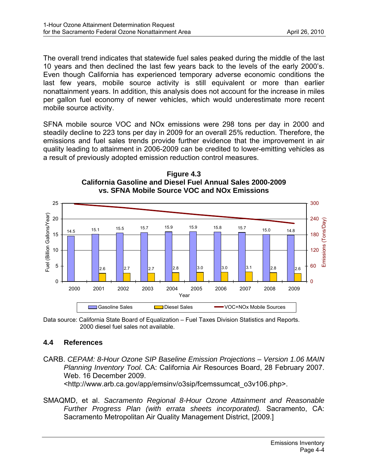<span id="page-25-0"></span>The overall trend indicates that statewide fuel sales peaked during the middle of the last 10 years and then declined the last few years back to the levels of the early 2000's. Even though California has experienced temporary adverse economic conditions the last few years, mobile source activity is still equivalent or more than earlier nonattainment years. In addition, this analysis does not account for the increase in miles per gallon fuel economy of newer vehicles, which would underestimate more recent mobile source activity.

SFNA mobile source VOC and NOx emissions were 298 tons per day in 2000 and steadily decline to 223 tons per day in 2009 for an overall 25% reduction. Therefore, the emissions and fuel sales trends provide further evidence that the improvement in air quality leading to attainment in 2006-2009 can be credited to lower-emitting vehicles as a result of previously adopted emission reduction control measures.



**Figure 4.3 California Gasoline and Diesel Fuel Annual Sales 2000-2009 vs. SFNA Mobile Source VOC and NOx Emissions** 

Data source: California State Board of Equalization – Fuel Taxes Division Statistics and Reports. 2000 diesel fuel sales not available.

#### **4.4 References**

- CARB. *CEPAM: 8-Hour Ozone SIP Baseline Emission Projections Version 1.06 MAIN Planning Inventory Tool.* CA: California Air Resources Board, 28 February 2007. Web. 16 December 2009. <http://www.arb.ca.gov/app/emsinv/o3sip/fcemssumcat\_o3v106.php>.
- SMAQMD, et al. *Sacramento Regional 8-Hour Ozone Attainment and Reasonable Further Progress Plan (with errata sheets incorporated).* Sacramento, CA: Sacramento Metropolitan Air Quality Management District, [2009.]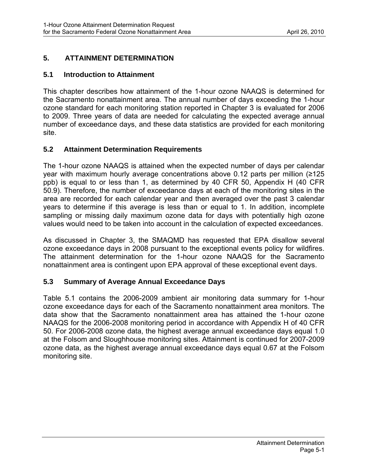# <span id="page-26-0"></span>**5. ATTAINMENT DETERMINATION**

#### **5.1 Introduction to Attainment**

This chapter describes how attainment of the 1-hour ozone NAAQS is determined for the Sacramento nonattainment area. The annual number of days exceeding the 1-hour ozone standard for each monitoring station reported in Chapter 3 is evaluated for 2006 to 2009. Three years of data are needed for calculating the expected average annual number of exceedance days, and these data statistics are provided for each monitoring site.

## **5.2 Attainment Determination Requirements**

The 1-hour ozone NAAQS is attained when the expected number of days per calendar year with maximum hourly average concentrations above 0.12 parts per million (≥125 ppb) is equal to or less than 1, as determined by 40 CFR 50, Appendix H (40 CFR 50.9). Therefore, the number of exceedance days at each of the monitoring sites in the area are recorded for each calendar year and then averaged over the past 3 calendar years to determine if this average is less than or equal to 1. In addition, incomplete sampling or missing daily maximum ozone data for days with potentially high ozone values would need to be taken into account in the calculation of expected exceedances.

As discussed in Chapter 3, the SMAQMD has requested that EPA disallow several ozone exceedance days in 2008 pursuant to the exceptional events policy for wildfires. The attainment determination for the 1-hour ozone NAAQS for the Sacramento nonattainment area is contingent upon EPA approval of these exceptional event days.

# **5.3 Summary of Average Annual Exceedance Days**

Table 5.1 contains the 2006-2009 ambient air monitoring data summary for 1-hour ozone exceedance days for each of the Sacramento nonattainment area monitors. The data show that the Sacramento nonattainment area has attained the 1-hour ozone NAAQS for the 2006-2008 monitoring period in accordance with Appendix H of 40 CFR 50. For 2006-2008 ozone data, the highest average annual exceedance days equal 1.0 at the Folsom and Sloughhouse monitoring sites. Attainment is continued for 2007-2009 ozone data, as the highest average annual exceedance days equal 0.67 at the Folsom monitoring site.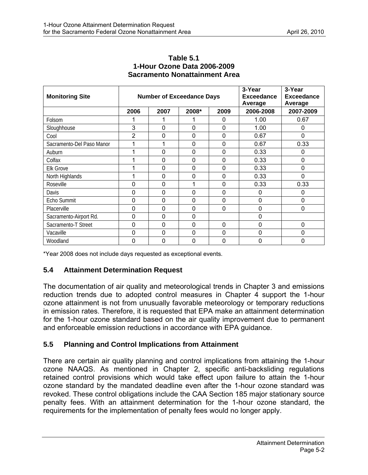<span id="page-27-0"></span>

| <b>Monitoring Site</b>    |                | <b>Number of Exceedance Days</b> |             | 3-Year<br><b>Exceedance</b><br>Average | 3-Year<br><b>Exceedance</b><br>Average |             |
|---------------------------|----------------|----------------------------------|-------------|----------------------------------------|----------------------------------------|-------------|
|                           | 2006           | 2007                             | 2008*       | 2009                                   | 2006-2008                              | 2007-2009   |
| Folsom                    |                |                                  |             | 0                                      | 1.00                                   | 0.67        |
| Sloughhouse               | 3              | 0                                | 0           | $\mathbf 0$                            | 1.00                                   | 0           |
| Cool                      | $\overline{2}$ | 0                                | 0           | 0                                      | 0.67                                   | $\mathbf 0$ |
| Sacramento-Del Paso Manor |                | 1                                | 0           | $\mathbf 0$                            | 0.67                                   | 0.33        |
| Auburn                    |                | 0                                | 0           | 0                                      | 0.33                                   | 0           |
| Colfax                    |                | 0                                | 0           | 0                                      | 0.33                                   | $\mathbf 0$ |
| <b>Elk Grove</b>          |                | 0                                | $\mathbf 0$ | $\mathbf 0$                            | 0.33                                   | $\mathbf 0$ |
| North Highlands           |                | 0                                | 0           | $\mathbf 0$                            | 0.33                                   | 0           |
| Roseville                 | 0              | 0                                |             | $\mathbf 0$                            | 0.33                                   | 0.33        |
| Davis                     | 0              | 0                                | 0           | 0                                      | 0                                      | 0           |
| Echo Summit               | 0              | 0                                | $\mathbf 0$ | $\mathbf 0$                            | 0                                      | $\mathbf 0$ |
| Placerville               | 0              | 0                                | 0           | $\mathbf 0$                            | 0                                      | 0           |
| Sacramento-Airport Rd.    | 0              | 0                                | 0           |                                        | 0                                      |             |
| Sacramento-T Street       | 0              | 0                                | 0           | $\mathbf 0$                            | 0                                      | $\mathbf 0$ |
| Vacaville                 | 0              | 0                                | $\mathbf 0$ | $\mathbf 0$                            | $\mathbf 0$                            | $\mathbf 0$ |
| Woodland                  | 0              | 0                                | 0           | 0                                      | 0                                      | 0           |

#### **Table 5.1 1-Hour Ozone Data 2006-2009 Sacramento Nonattainment Area**

\*Year 2008 does not include days requested as exceptional events.

# **5.4 Attainment Determination Request**

The documentation of air quality and meteorological trends in Chapter 3 and emissions reduction trends due to adopted control measures in Chapter 4 support the 1-hour ozone attainment is not from unusually favorable meteorology or temporary reductions in emission rates. Therefore, it is requested that EPA make an attainment determination for the 1-hour ozone standard based on the air quality improvement due to permanent and enforceable emission reductions in accordance with EPA guidance.

# **5.5 Planning and Control Implications from Attainment**

There are certain air quality planning and control implications from attaining the 1-hour ozone NAAQS. As mentioned in Chapter 2, specific anti-backsliding regulations retained control provisions which would take effect upon failure to attain the 1-hour ozone standard by the mandated deadline even after the 1-hour ozone standard was revoked. These control obligations include the CAA Section 185 major stationary source penalty fees. With an attainment determination for the 1-hour ozone standard, the requirements for the implementation of penalty fees would no longer apply.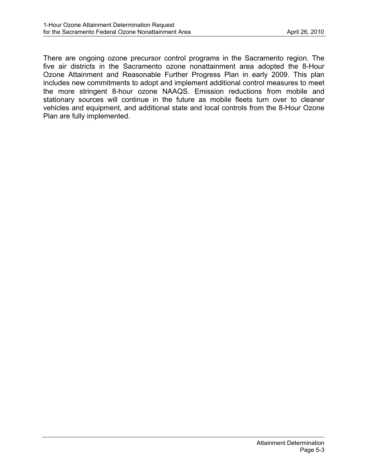There are ongoing ozone precursor control programs in the Sacramento region. The five air districts in the Sacramento ozone nonattainment area adopted the 8-Hour Ozone Attainment and Reasonable Further Progress Plan in early 2009. This plan includes new commitments to adopt and implement additional control measures to meet the more stringent 8-hour ozone NAAQS. Emission reductions from mobile and stationary sources will continue in the future as mobile fleets turn over to cleaner vehicles and equipment, and additional state and local controls from the 8-Hour Ozone Plan are fully implemented.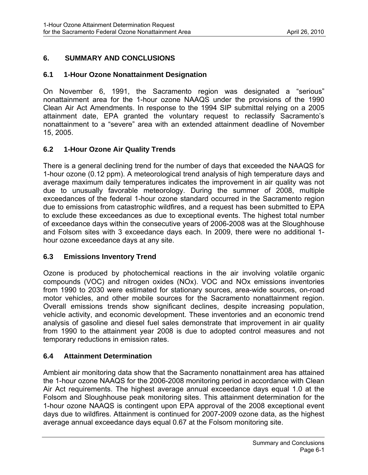# <span id="page-29-0"></span>**6. SUMMARY AND CONCLUSIONS**

## **6.1 1-Hour Ozone Nonattainment Designation**

On November 6, 1991, the Sacramento region was designated a "serious" nonattainment area for the 1-hour ozone NAAQS under the provisions of the 1990 Clean Air Act Amendments. In response to the 1994 SIP submittal relying on a 2005 attainment date, EPA granted the voluntary request to reclassify Sacramento's nonattainment to a "severe" area with an extended attainment deadline of November 15, 2005.

# **6.2 1-Hour Ozone Air Quality Trends**

There is a general declining trend for the number of days that exceeded the NAAQS for 1-hour ozone (0.12 ppm). A meteorological trend analysis of high temperature days and average maximum daily temperatures indicates the improvement in air quality was not due to unusually favorable meteorology. During the summer of 2008, multiple exceedances of the federal 1-hour ozone standard occurred in the Sacramento region due to emissions from catastrophic wildfires, and a request has been submitted to EPA to exclude these exceedances as due to exceptional events. The highest total number of exceedance days within the consecutive years of 2006-2008 was at the Sloughhouse and Folsom sites with 3 exceedance days each. In 2009, there were no additional 1 hour ozone exceedance days at any site.

# **6.3 Emissions Inventory Trend**

Ozone is produced by photochemical reactions in the air involving volatile organic compounds (VOC) and nitrogen oxides (NOx). VOC and NOx emissions inventories from 1990 to 2030 were estimated for stationary sources, area-wide sources, on-road motor vehicles, and other mobile sources for the Sacramento nonattainment region. Overall emissions trends show significant declines, despite increasing population, vehicle activity, and economic development. These inventories and an economic trend analysis of gasoline and diesel fuel sales demonstrate that improvement in air quality from 1990 to the attainment year 2008 is due to adopted control measures and not temporary reductions in emission rates.

# **6.4 Attainment Determination**

Ambient air monitoring data show that the Sacramento nonattainment area has attained the 1-hour ozone NAAQS for the 2006-2008 monitoring period in accordance with Clean Air Act requirements. The highest average annual exceedance days equal 1.0 at the Folsom and Sloughhouse peak monitoring sites. This attainment determination for the 1-hour ozone NAAQS is contingent upon EPA approval of the 2008 exceptional event days due to wildfires. Attainment is continued for 2007-2009 ozone data, as the highest average annual exceedance days equal 0.67 at the Folsom monitoring site.